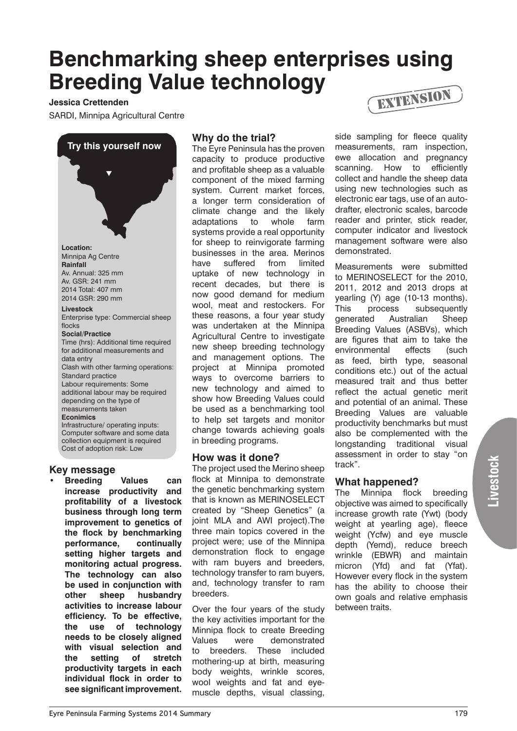# **Benchmarking sheep enterprises using Breeding Value technology**

#### **Jessica Crettenden**

SARDI, Minnipa Agricultural Centre

 $\overline{\blacktriangledown}$ **Try this yourself now Location:**  Minnipa Ag Centre **Rainfall** Av. Annual: 325 mm Av. GSR: 241 mm 2014 Total: 407 mm 2014 GSR: 290 mm **Livestock** Enterprise type: Commercial sheep flocks **Social/Practice** Time (hrs): Additional time required for additional measurements and data entry Clash with other farming operations: Standard practice Labour requirements: Some additional labour may be required depending on the type of measurements taken **Econimics** Infrastructure/ operating inputs: Computer software and some data collection equipment is required

**Key message**

Cost of adoption risk: Low

**Breeding Values can increase productivity and profitability of a livestock business through long term improvement to genetics of the flock by benchmarking performance, continually setting higher targets and monitoring actual progress. The technology can also be used in conjunction with other sheep husbandry activities to increase labour efficiency. To be effective, the use of technology needs to be closely aligned with visual selection and the setting of stretch productivity targets in each individual flock in order to see significant improvement.**

### **Why do the trial?**

The Eyre Peninsula has the proven capacity to produce productive and profitable sheep as a valuable component of the mixed farming system. Current market forces, a longer term consideration of climate change and the likely adaptations to whole farm systems provide a real opportunity for sheep to reinvigorate farming businesses in the area. Merinos have suffered from limited uptake of new technology in recent decades, but there is now good demand for medium wool, meat and restockers. For these reasons, a four year study was undertaken at the Minnipa Agricultural Centre to investigate new sheep breeding technology and management options. The project at Minnipa promoted ways to overcome barriers to new technology and aimed to show how Breeding Values could be used as a benchmarking tool to help set targets and monitor change towards achieving goals in breeding programs.

#### **How was it done?**

The project used the Merino sheep flock at Minnipa to demonstrate the genetic benchmarking system that is known as MERINOSELECT created by "Sheep Genetics" (a joint MLA and AWI project).The three main topics covered in the project were; use of the Minnipa demonstration flock to engage with ram buyers and breeders, technology transfer to ram buyers, and, technology transfer to ram breeders.

Over the four years of the study the key activities important for the Minnipa flock to create Breeding Values were demonstrated to breeders. These included mothering-up at birth, measuring body weights, wrinkle scores, wool weights and fat and eyemuscle depths, visual classing,



side sampling for fleece quality measurements, ram inspection, ewe allocation and pregnancy scanning. How to efficiently collect and handle the sheep data using new technologies such as electronic ear tags, use of an autodrafter, electronic scales, barcode reader and printer, stick reader, computer indicator and livestock management software were also demonstrated.

Measurements were submitted to MERINOSELECT for the 2010, 2011, 2012 and 2013 drops at yearling (Y) age (10-13 months). This process subsequently generated Australian Sheep Breeding Values (ASBVs), which are figures that aim to take the environmental effects (such as feed, birth type, seasonal conditions etc.) out of the actual measured trait and thus better reflect the actual genetic merit and potential of an animal. These Breeding Values are valuable productivity benchmarks but must also be complemented with the longstanding traditional visual assessment in order to stay "on track".

## **What happened?**

The Minnipa flock breeding objective was aimed to specifically increase growth rate (Ywt) (body weight at yearling age), fleece weight (Ycfw) and eye muscle depth (Yemd), reduce breech wrinkle (EBWR) and maintain micron (Yfd) and fat (Yfat). However every flock in the system has the ability to choose their own goals and relative emphasis between traits.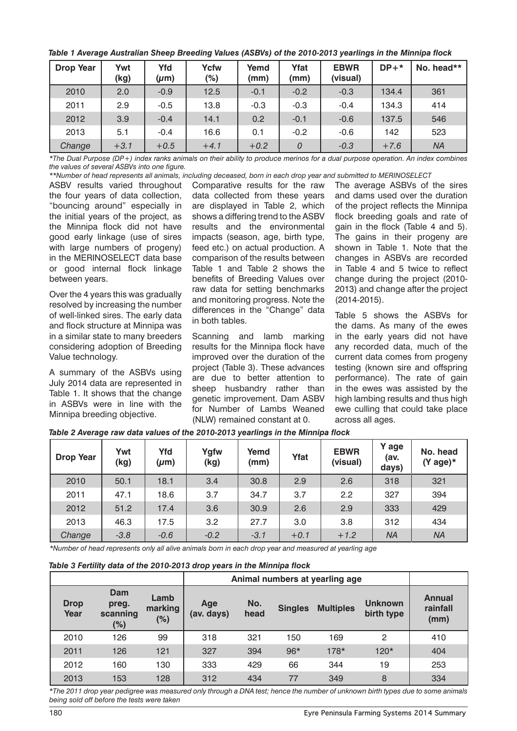*Table 1 Average Australian Sheep Breeding Values (ASBVs) of the 2010-2013 yearlings in the Minnipa flock*

| <b>Drop Year</b> | Ywt<br>(kg) | Yfd<br>$(\mu m)$ | <b>Ycfw</b><br>$(\%)$ | Yemd<br>(mm) | Yfat<br>(mm)   | <b>EBWR</b><br>(visual) | $DP+*$ | No. head** |
|------------------|-------------|------------------|-----------------------|--------------|----------------|-------------------------|--------|------------|
| 2010             | 2.0         | $-0.9$           | 12.5                  | $-0.1$       | $-0.2$         | $-0.3$                  | 134.4  | 361        |
| 2011             | 2.9         | $-0.5$           | 13.8                  | $-0.3$       | $-0.3$         | $-0.4$                  | 134.3  | 414        |
| 2012             | 3.9         | $-0.4$           | 14.1                  | 0.2          | $-0.1$         | $-0.6$                  | 137.5  | 546        |
| 2013             | 5.1         | $-0.4$           | 16.6                  | 0.1          | $-0.2$         | $-0.6$                  | 142    | 523        |
| Change           | $+3.1$      | $+0.5$           | $+4.1$                | $+0.2$       | $\overline{O}$ | $-0.3$                  | $+7.6$ | <b>NA</b>  |

*\*The Dual Purpose (DP+) index ranks animals on their ability to produce merinos for a dual purpose operation. An index combines the values of several ASBVs into one figure.*

ASBV results varied throughout the four years of data collection, "bouncing around" especially in the initial years of the project, as the Minnipa flock did not have good early linkage (use of sires with large numbers of progeny) in the MERINOSELECT data base or good internal flock linkage between years.

Over the 4 years this was gradually resolved by increasing the number of well-linked sires. The early data and flock structure at Minnipa was in a similar state to many breeders considering adoption of Breeding Value technology.

A summary of the ASBVs using July 2014 data are represented in Table 1. It shows that the change in ASBVs were in line with the Minnipa breeding objective.

Comparative results for the raw data collected from these years are displayed in Table 2, which shows a differing trend to the ASBV results and the environmental impacts (season, age, birth type, feed etc.) on actual production. A comparison of the results between Table 1 and Table 2 shows the benefits of Breeding Values over raw data for setting benchmarks and monitoring progress. Note the differences in the "Change" data in both tables. *\*\*Number of head represents all animals, including deceased, born in each drop year and submitted to MERINOSELECT*

> Scanning and lamb marking results for the Minnipa flock have improved over the duration of the project (Table 3). These advances are due to better attention to sheep husbandry rather than genetic improvement. Dam ASBV for Number of Lambs Weaned (NLW) remained constant at 0.

The average ASBVs of the sires and dams used over the duration of the project reflects the Minnipa flock breeding goals and rate of gain in the flock (Table 4 and 5). The gains in their progeny are shown in Table 1. Note that the changes in ASBVs are recorded in Table 4 and 5 twice to reflect change during the project (2010- 2013) and change after the project (2014-2015).

Table 5 shows the ASBVs for the dams. As many of the ewes in the early years did not have any recorded data, much of the current data comes from progeny testing (known sire and offspring performance). The rate of gain in the ewes was assisted by the high lambing results and thus high ewe culling that could take place across all ages.

| <b>Drop Year</b> | Ywt<br>(kg) | Yfd<br>$(\mu m)$ | Ygfw<br>(kg) | Yemd<br>(mm) | Yfat   | <b>EBWR</b><br>(visual) | Y age<br>(av.<br>days) | No. head<br>(Y age)* |
|------------------|-------------|------------------|--------------|--------------|--------|-------------------------|------------------------|----------------------|
| 2010             | 50.1        | 18.1             | 3.4          | 30.8         | 2.9    | 2.6                     | 318                    | 321                  |
| 2011             | 47.1        | 18.6             | 3.7          | 34.7         | 3.7    | 2.2                     | 327                    | 394                  |
| 2012             | 51.2        | 17.4             | 3.6          | 30.9         | 2.6    | 2.9                     | 333                    | 429                  |
| 2013             | 46.3        | 17.5             | 3.2          | 27.7         | 3.0    | 3.8                     | 312                    | 434                  |
| Change           | $-3.8$      | $-0.6$           | $-0.2$       | $-3.1$       | $+0.1$ | $+1.2$                  | <b>NA</b>              | <b>NA</b>            |

*Table 2 Average raw data values of the 2010-2013 yearlings in the Minnipa flock*

*\*Number of head represents only all alive animals born in each drop year and measured at yearling age*

*Table 3 Fertility data of the 2010-2013 drop years in the Minnipa flock*

|                     |                                 |                           | Animal numbers at yearling age |             |                |                  |                              |                                   |
|---------------------|---------------------------------|---------------------------|--------------------------------|-------------|----------------|------------------|------------------------------|-----------------------------------|
| <b>Drop</b><br>Year | Dam<br>preg.<br>scanning<br>(%) | Lamb<br>marking<br>$(\%)$ | Age<br>(av. days)              | No.<br>head | <b>Singles</b> | <b>Multiples</b> | <b>Unknown</b><br>birth type | <b>Annual</b><br>rainfall<br>(mm) |
| 2010                | 126                             | 99                        | 318                            | 321         | 150            | 169              | 2                            | 410                               |
| 2011                | 126                             | 121                       | 327                            | 394         | $96*$          | $178*$           | 120*                         | 404                               |
| 2012                | 160                             | 130                       | 333                            | 429         | 66             | 344              | 19                           | 253                               |
| 2013                | 153                             | 128                       | 312                            | 434         | 77             | 349              | 8                            | 334                               |

*\*The 2011 drop year pedigree was measured only through a DNA test; hence the number of unknown birth types due to some animals being sold off before the tests were taken*